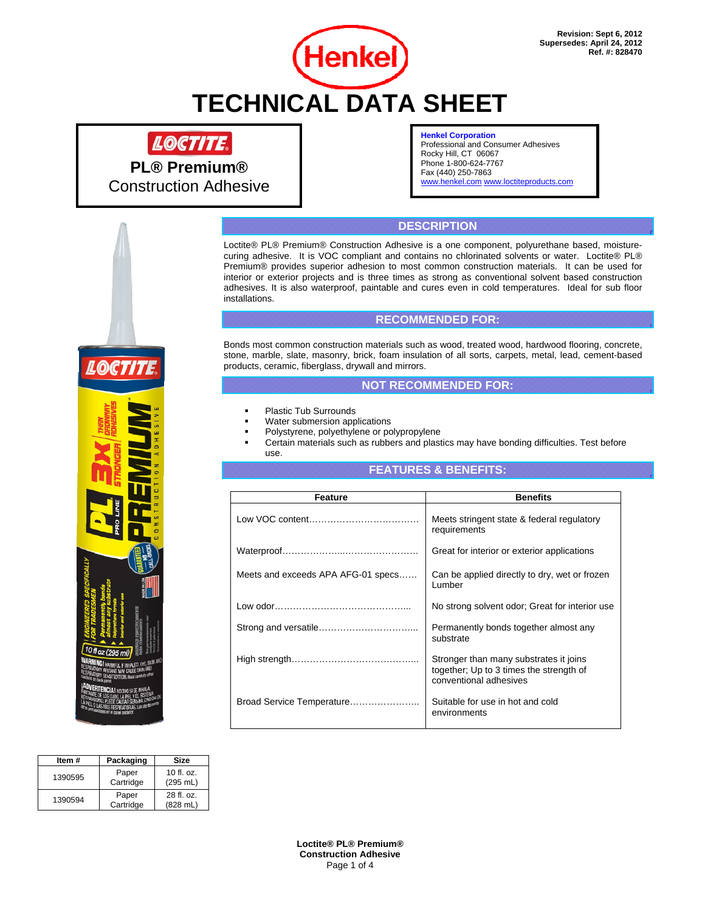

# **Henkel Corporation**

Professional and Consumer Adhesives Rocky Hill, CT 06067 Phone 1-800-624-7767 Fax (440) 250-7863 www.henkel.com www.loctiteproducts.com

# **DESCRIPTION**

Loctite® PL® Premium® Construction Adhesive is a one component, polyurethane based, moisturecuring adhesive. It is VOC compliant and contains no chlorinated solvents or water. Loctite® PL® Premium® provides superior adhesion to most common construction materials. It can be used for interior or exterior projects and is three times as strong as conventional solvent based construction adhesives. It is also waterproof, paintable and cures even in cold temperatures. Ideal for sub floor installations.

# **RECOMMENDED FOR:**

Bonds most common construction materials such as wood, treated wood, hardwood flooring, concrete, stone, marble, slate, masonry, brick, foam insulation of all sorts, carpets, metal, lead, cement-based products, ceramic, fiberglass, drywall and mirrors.

# **NOT RECOMMENDED FOR:**

- Plastic Tub Surrounds
- Water submersion applications
- Polystyrene, polyethylene or polypropylene
- Certain materials such as rubbers and plastics may have bonding difficulties. Test before use.

# **FEATURES & BENEFITS:**

| Feature                            | <b>Benefits</b>                                                                                             |
|------------------------------------|-------------------------------------------------------------------------------------------------------------|
|                                    | Meets stringent state & federal regulatory<br>requirements                                                  |
|                                    | Great for interior or exterior applications                                                                 |
| Meets and exceeds APA AFG-01 specs | Can be applied directly to dry, wet or frozen<br>Lumber                                                     |
|                                    | No strong solvent odor; Great for interior use                                                              |
|                                    | Permanently bonds together almost any<br>substrate                                                          |
|                                    | Stronger than many substrates it joins<br>together; Up to 3 times the strength of<br>conventional adhesives |
| Broad Service Temperature          | Suitable for use in hot and cold<br>environments                                                            |

| Item #  | Packaging          | Size                             |
|---------|--------------------|----------------------------------|
| 1390595 | Paper<br>Cartridge | 10 fl. oz.<br>(295 mL)           |
| 1390594 | Paper<br>Cartridge | 28 fl. oz.<br>$(828 \text{ mL})$ |

**Loctite® PL® Premium® Construction Adhesive**  Page 1 of 4



**PL® Premium®**  Construction Adhesive

LOCTITE.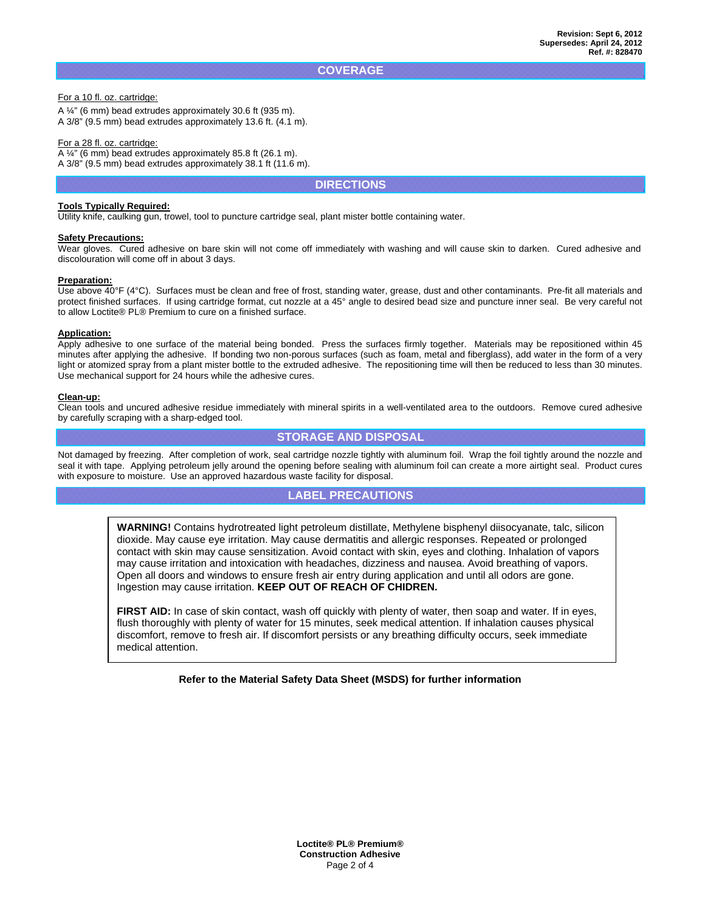#### **COVERAGE**

#### For a 10 fl. oz. cartridge:

A ¼" (6 mm) bead extrudes approximately 30.6 ft (935 m). A 3/8" (9.5 mm) bead extrudes approximately 13.6 ft. (4.1 m).

#### For a 28 fl. oz. cartridge:

A ¼" (6 mm) bead extrudes approximately 85.8 ft (26.1 m). A 3/8" (9.5 mm) bead extrudes approximately 38.1 ft (11.6 m).

# **DIRECTIONS**

#### **Tools Typically Required:**

Utility knife, caulking gun, trowel, tool to puncture cartridge seal, plant mister bottle containing water.

#### **Safety Precautions:**

Wear gloves. Cured adhesive on bare skin will not come off immediately with washing and will cause skin to darken. Cured adhesive and discolouration will come off in about 3 days.

#### **Preparation:**

Use above 40°F (4°C). Surfaces must be clean and free of frost, standing water, grease, dust and other contaminants. Pre-fit all materials and protect finished surfaces. If using cartridge format, cut nozzle at a 45° angle to desired bead size and puncture inner seal. Be very careful not to allow Loctite® PL® Premium to cure on a finished surface.

#### **Application:**

Apply adhesive to one surface of the material being bonded. Press the surfaces firmly together. Materials may be repositioned within 45 minutes after applying the adhesive. If bonding two non-porous surfaces (such as foam, metal and fiberglass), add water in the form of a very light or atomized spray from a plant mister bottle to the extruded adhesive. The repositioning time will then be reduced to less than 30 minutes. Use mechanical support for 24 hours while the adhesive cures.

#### **Clean-up:**

Clean tools and uncured adhesive residue immediately with mineral spirits in a well-ventilated area to the outdoors. Remove cured adhesive by carefully scraping with a sharp-edged tool.

# **STORAGE AND DISPOSAL**

Not damaged by freezing. After completion of work, seal cartridge nozzle tightly with aluminum foil. Wrap the foil tightly around the nozzle and seal it with tape. Applying petroleum jelly around the opening before sealing with aluminum foil can create a more airtight seal. Product cures with exposure to moisture. Use an approved hazardous waste facility for disposal.

# **LABEL PRECAUTIONS**

**WARNING!** Contains hydrotreated light petroleum distillate, Methylene bisphenyl diisocyanate, talc, silicon dioxide. May cause eye irritation. May cause dermatitis and allergic responses. Repeated or prolonged contact with skin may cause sensitization. Avoid contact with skin, eyes and clothing. Inhalation of vapors may cause irritation and intoxication with headaches, dizziness and nausea. Avoid breathing of vapors. Open all doors and windows to ensure fresh air entry during application and until all odors are gone. Ingestion may cause irritation. **KEEP OUT OF REACH OF CHIDREN.** 

**FIRST AID:** In case of skin contact, wash off quickly with plenty of water, then soap and water. If in eyes, flush thoroughly with plenty of water for 15 minutes, seek medical attention. If inhalation causes physical discomfort, remove to fresh air. If discomfort persists or any breathing difficulty occurs, seek immediate medical attention.

#### **Refer to the Material Safety Data Sheet (MSDS) for further information**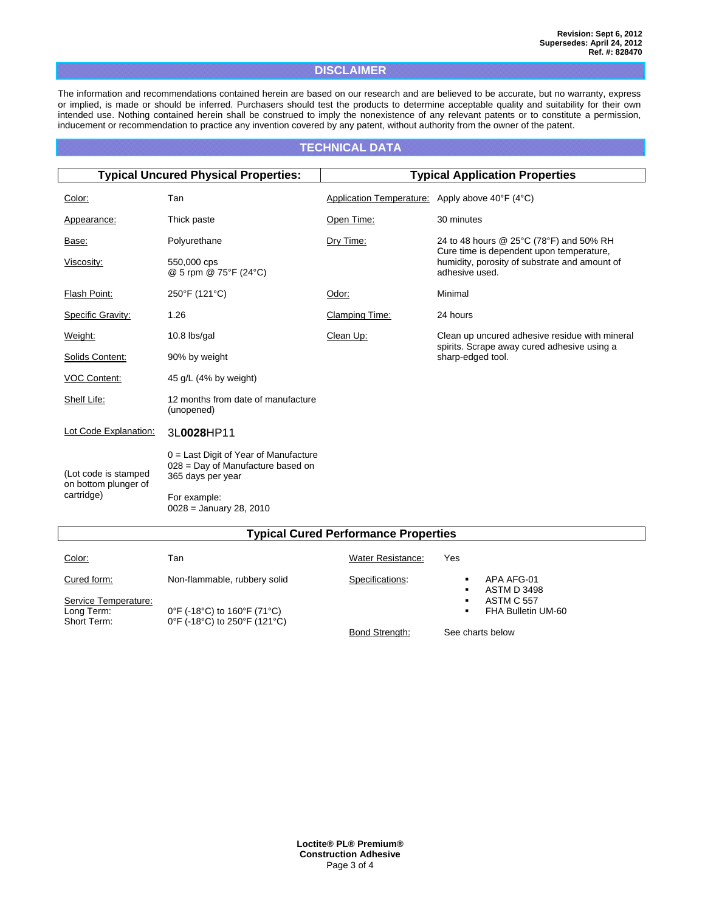# **DISCLAIMER**

The information and recommendations contained herein are based on our research and are believed to be accurate, but no warranty, express or implied, is made or should be inferred. Purchasers should test the products to determine acceptable quality and suitability for their own intended use. Nothing contained herein shall be construed to imply the nonexistence of any relevant patents or to constitute a permission, inducement or recommendation to practice any invention covered by any patent, without authority from the owner of the patent.

# **TECHNICAL DATA**

| <b>Typical Uncured Physical Properties:</b>  |                                                                                                   | <b>Typical Application Properties</b>           |                                                                                               |
|----------------------------------------------|---------------------------------------------------------------------------------------------------|-------------------------------------------------|-----------------------------------------------------------------------------------------------|
| Color:                                       | Tan                                                                                               | Application Temperature: Apply above 40°F (4°C) |                                                                                               |
| Appearance:                                  | Thick paste                                                                                       | Open Time:                                      | 30 minutes                                                                                    |
| Base:                                        | Polyurethane                                                                                      | Dry Time:                                       | 24 to 48 hours @ 25°C (78°F) and 50% RH<br>Cure time is dependent upon temperature,           |
| Viscosity:                                   | 550,000 cps<br>@ 5 rpm @ 75°F (24°C)                                                              |                                                 | humidity, porosity of substrate and amount of<br>adhesive used.                               |
| Flash Point:                                 | 250°F (121°C)                                                                                     | Odor:                                           | Minimal                                                                                       |
| Specific Gravity:                            | 1.26                                                                                              | <b>Clamping Time:</b>                           | 24 hours                                                                                      |
| Weight:                                      | $10.8$ lbs/gal                                                                                    | Clean Up:                                       | Clean up uncured adhesive residue with mineral<br>spirits. Scrape away cured adhesive using a |
| Solids Content:                              | 90% by weight                                                                                     |                                                 | sharp-edged tool.                                                                             |
| VOC Content:                                 | 45 g/L (4% by weight)                                                                             |                                                 |                                                                                               |
| Shelf Life:                                  | 12 months from date of manufacture<br>(unopened)                                                  |                                                 |                                                                                               |
| Lot Code Explanation:                        | 3L0028HP11                                                                                        |                                                 |                                                                                               |
| (Lot code is stamped<br>on bottom plunger of | $0 =$ Last Digit of Year of Manufacture<br>028 = Day of Manufacture based on<br>365 days per year |                                                 |                                                                                               |
| cartridge)                                   | For example:<br>$0028 =$ January 28, 2010                                                         |                                                 |                                                                                               |
| <b>Typical Cured Performance Properties</b>  |                                                                                                   |                                                 |                                                                                               |

| Color:                                                           | Tan                                                                                                                                                                               | <b>Water Resistance:</b> | Yes                                                                                 |
|------------------------------------------------------------------|-----------------------------------------------------------------------------------------------------------------------------------------------------------------------------------|--------------------------|-------------------------------------------------------------------------------------|
| Cured form:<br>Service Temperature:<br>Long Term:<br>Short Term: | Non-flammable, rubbery solid<br>$0^{\circ}$ F (-18 $^{\circ}$ C) to 160 $^{\circ}$ F (71 $^{\circ}$ C)<br>$0^{\circ}$ F (-18 $^{\circ}$ C) to 250 $^{\circ}$ F (121 $^{\circ}$ C) | Specifications:          | APA AFG-01<br>ASTM D 3498<br>٠<br><b>ASTM C 557</b><br>٠<br>FHA Bulletin UM-60<br>٠ |
|                                                                  |                                                                                                                                                                                   | Bond Strength:           | See charts below                                                                    |